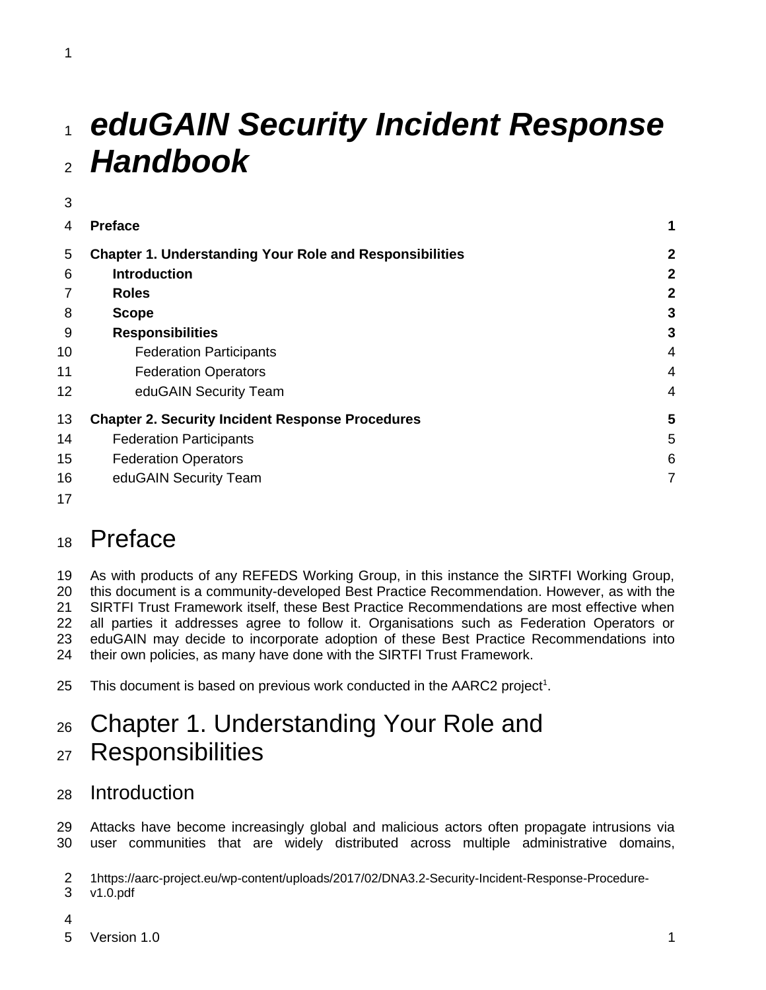# *eduGAIN Security Incident Response*  1 *Handbook* 2

| 4  | <b>Preface</b>                                                 | 1              |
|----|----------------------------------------------------------------|----------------|
| 5  | <b>Chapter 1. Understanding Your Role and Responsibilities</b> | $\overline{2}$ |
| 6  | <b>Introduction</b>                                            | $\mathbf{2}$   |
|    | <b>Roles</b>                                                   | $\overline{2}$ |
| 8  | <b>Scope</b>                                                   | 3              |
| 9  | <b>Responsibilities</b>                                        | 3              |
| 10 | <b>Federation Participants</b>                                 | 4              |
| 11 | <b>Federation Operators</b>                                    | 4              |
| 12 | eduGAIN Security Team                                          | 4              |
| 13 | <b>Chapter 2. Security Incident Response Procedures</b>        | 5              |
| 14 | <b>Federation Participants</b>                                 | 5              |
| 15 | <b>Federation Operators</b>                                    | 6              |
| 16 | eduGAIN Security Team                                          | 7              |
| 17 |                                                                |                |

# <span id="page-0-0"></span>Preface 18

As with products of any REFEDS Working Group, in this instance the SIRTFI Working Group, this document is a community-developed Best Practice Recommendation. However, as with the SIRTFI Trust Framework itself, these Best Practice Recommendations are most effective when all parties it addresses agree to follow it. Organisations such as Federation Operators or eduGAIN may decide to incorporate adoption of these Best Practice Recommendations into their own policies, as many have done with the SIRTFI Trust Framework. 19 20 21 22 23 24

This document is based on previous work conducted in the AARC2 project<sup>[1](#page-0-3)</sup>. 25

# <span id="page-0-2"></span>Chapter 1. Understanding Your Role and **Responsibilities** 26 27

## <span id="page-0-1"></span>Introduction 28

Attacks have become increasingly global and malicious actors often propagate intrusions via user communities that are widely distributed across multiple administrative domains, 29 30

<span id="page-0-3"></span>1https://aarc-project.eu/wp-content/uploads/2017/02/DNA3.2-Security-Incident-Response-Procedurev1.0.pdf 2 3

4

3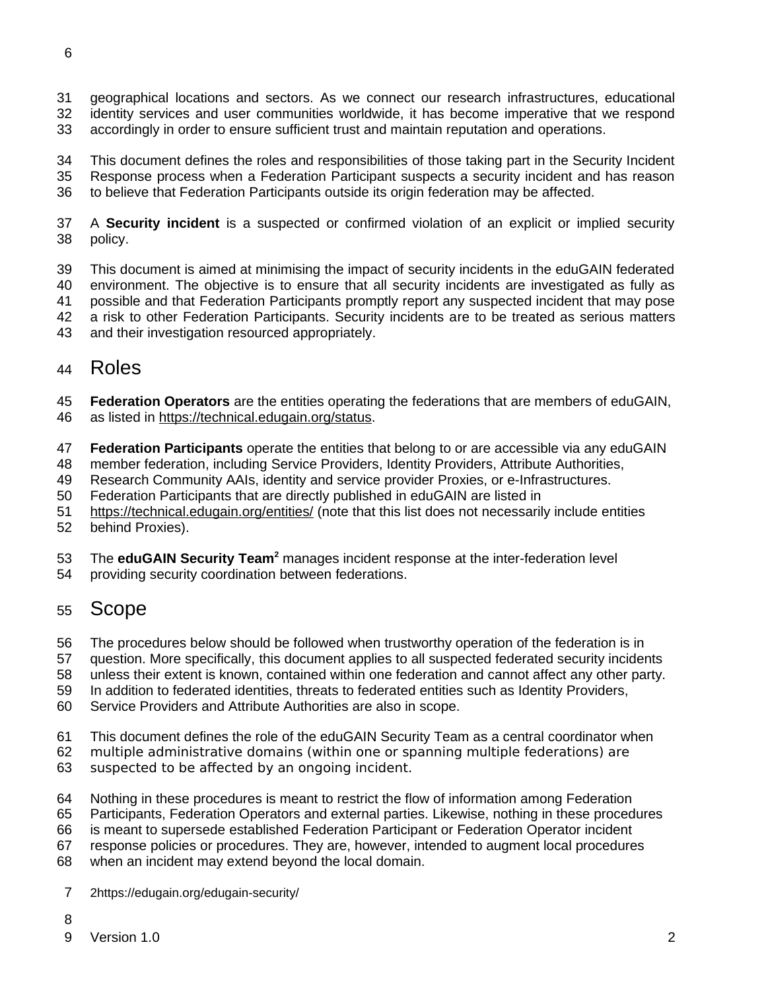- geographical locations and sectors. As we connect our research infrastructures, educational 31
- identity services and user communities worldwide, it has become imperative that we respond accordingly in order to ensure sufficient trust and maintain reputation and operations. 32 33
- This document defines the roles and responsibilities of those taking part in the Security Incident Response process when a Federation Participant suspects a security incident and has reason 34 35
- to believe that Federation Participants outside its origin federation may be affected. 36
- A **Security incident** is a suspected or confirmed violation of an explicit or implied security policy. 37 38
- This document is aimed at minimising the impact of security incidents in the eduGAIN federated environment. The objective is to ensure that all security incidents are investigated as fully as possible and that Federation Participants promptly report any suspected incident that may pose a risk to other Federation Participants. Security incidents are to be treated as serious matters 39 40 41 42
- and their investigation resourced appropriately. 43

#### <span id="page-1-1"></span>Roles 44

- **Federation Operators** are the entities operating the federations that are members of eduGAIN, 45
- as listed in<https://technical.edugain.org/status>. 46
- **Federation Participants** operate the entities that belong to or are accessible via any eduGAIN 47
- member federation, including Service Providers, Identity Providers, Attribute Authorities, 48
- Research Community AAIs, identity and service provider Proxies, or e-Infrastructures. 49
- Federation Participants that are directly published in eduGAIN are listed in 50
- <https://technical.edugain.org/entities/>(note that this list does not necessarily include entities 51
- behind Proxies). 52
- The **eduGAIN Security Team<sup>[2](#page-1-2)</sup> manages incident response at the inter-federation level** 53
- providing security coordination between federations. 54

### <span id="page-1-0"></span>Scope 55

- The procedures below should be followed when trustworthy operation of the federation is in 56
- question. More specifically, this document applies to all suspected federated security incidents 57
- unless their extent is known, contained within one federation and cannot affect any other party. 58
- In addition to federated identities, threats to federated entities such as Identity Providers, 59
- Service Providers and Attribute Authorities are also in scope. 60
- This document defines the role of the eduGAIN Security Team as a central coordinator when 61
- multiple administrative domains (within one or spanning multiple federations) are 62
- suspected to be affected by an ongoing incident. 63
- Nothing in these procedures is meant to restrict the flow of information among Federation 64
- Participants, Federation Operators and external parties. Likewise, nothing in these procedures 65
- is meant to supersede established Federation Participant or Federation Operator incident 66
- response policies or procedures. They are, however, intended to augment local procedures 67
- when an incident may extend beyond the local domain. 68
- <span id="page-1-2"></span>2https://edugain.org/edugain-security/ 7
- 8
- Version 1.0 2 9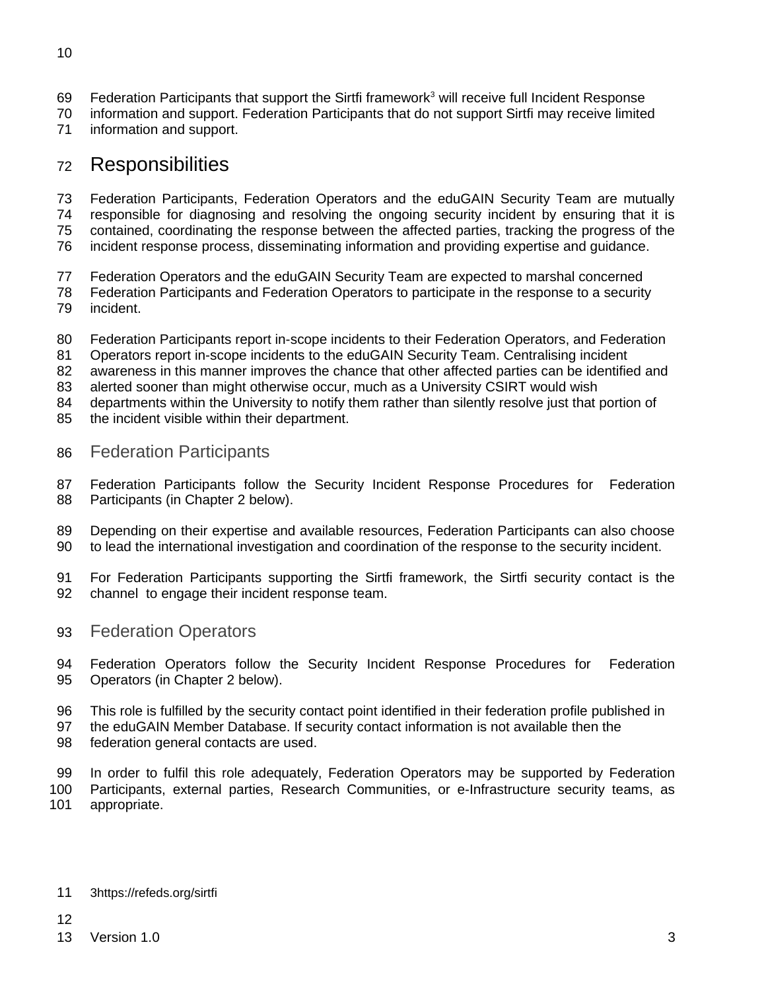- Federation Participants that support the Sirtfi framework<sup>[3](#page-2-3)</sup> will receive full Incident Response 69
- information and support. Federation Participants that do not support Sirtfi may receive limited 70
- information and support. 71

## <span id="page-2-2"></span>Responsibilities 72

Federation Participants, Federation Operators and the eduGAIN Security Team are mutually responsible for diagnosing and resolving the ongoing security incident by ensuring that it is 73 74

contained, coordinating the response between the affected parties, tracking the progress of the 75

- incident response process, disseminating information and providing expertise and guidance. 76
- Federation Operators and the eduGAIN Security Team are expected to marshal concerned 77
- Federation Participants and Federation Operators to participate in the response to a security 78
- incident. 79
- Federation Participants report in-scope incidents to their Federation Operators, and Federation 80
- Operators report in-scope incidents to the eduGAIN Security Team. Centralising incident 81
- awareness in this manner improves the chance that other affected parties can be identified and 82

alerted sooner than might otherwise occur, much as a University CSIRT would wish 83

departments within the University to notify them rather than silently resolve just that portion of 84

- the incident visible within their department. 85
- <span id="page-2-1"></span>Federation Participants 86
- Federation Participants follow the Security Incident Response Procedures for Federation Participants (in Chapter 2 below). 87 88
- Depending on their expertise and available resources, Federation Participants can also choose to lead the international investigation and coordination of the response to the security incident. 89 90
- For Federation Participants supporting the Sirtfi framework, the Sirtfi security contact is the channel to engage their incident response team. 91 92
- <span id="page-2-0"></span>Federation Operators 93
- Federation Operators follow the Security Incident Response Procedures for Federation Operators (in Chapter 2 below). 94 95
- This role is fulfilled by the security contact point identified in their federation profile published in 96
- the eduGAIN Member Database. If security contact information is not available then the 97
- federation general contacts are used. 98
- In order to fulfil this role adequately, Federation Operators may be supported by Federation Participants, external parties, Research Communities, or e-Infrastructure security teams, as appropriate. 99 100 101

#### <span id="page-2-3"></span>3https://refeds.org/sirtfi 11

version 1.0 3 13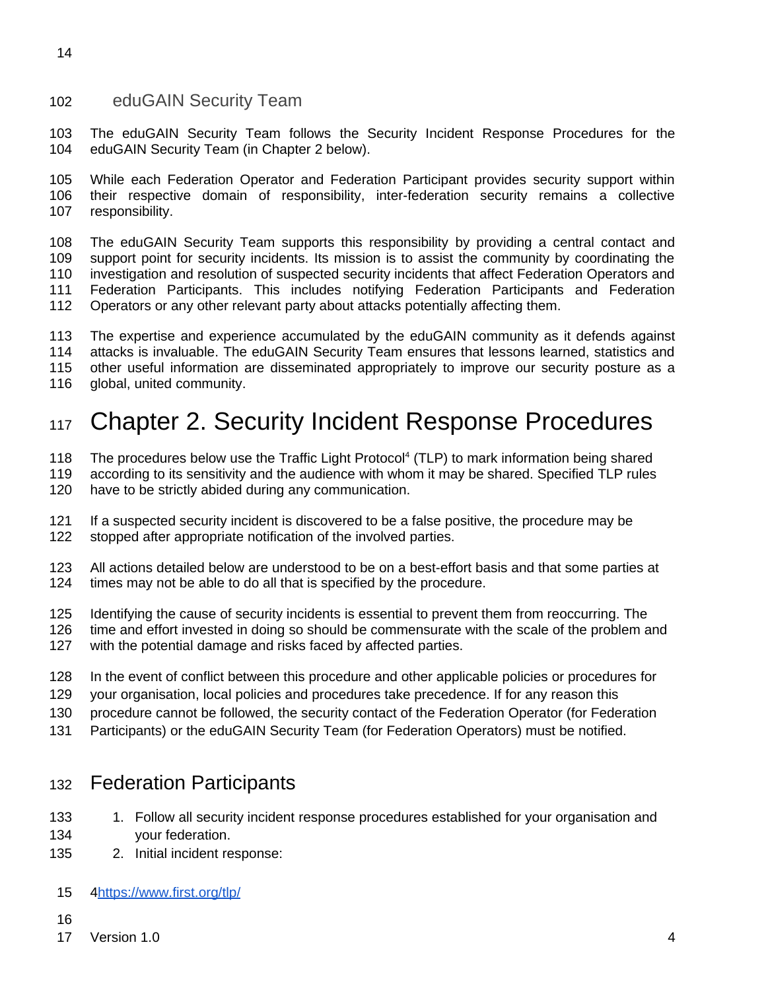#### <span id="page-3-2"></span>eduGAIN Security Team 102

The eduGAIN Security Team follows the Security Incident Response Procedures for the eduGAIN Security Team (in Chapter 2 below). 103 104

While each Federation Operator and Federation Participant provides security support within their respective domain of responsibility, inter-federation security remains a collective responsibility. 105 106 107

The eduGAIN Security Team supports this responsibility by providing a central contact and support point for security incidents. Its mission is to assist the community by coordinating the investigation and resolution of suspected security incidents that affect Federation Operators and Federation Participants. This includes notifying Federation Participants and Federation Operators or any other relevant party about attacks potentially affecting them. 108 109 110 111 112

The expertise and experience accumulated by the eduGAIN community as it defends against attacks is invaluable. The eduGAIN Security Team ensures that lessons learned, statistics and other useful information are disseminated appropriately to improve our security posture as a global, united community. 113 114 115 116

# <span id="page-3-1"></span>Chapter 2. Security Incident Response Procedures 117

The procedures below use the Traffic Light Protocol<sup>[4](#page-3-3)</sup> (TLP) to mark information being shared 118

according to its sensitivity and the audience with whom it may be shared. Specified TLP rules 119

- have to be strictly abided during any communication. 120
- If a suspected security incident is discovered to be a false positive, the procedure may be stopped after appropriate notification of the involved parties. 121 122
- All actions detailed below are understood to be on a best-effort basis and that some parties at times may not be able to do all that is specified by the procedure. 123 124
- Identifying the cause of security incidents is essential to prevent them from reoccurring. The 125
- time and effort invested in doing so should be commensurate with the scale of the problem and 126
- with the potential damage and risks faced by affected parties. 127
- In the event of conflict between this procedure and other applicable policies or procedures for 128
- your organisation, local policies and procedures take precedence. If for any reason this 129
- procedure cannot be followed, the security contact of the Federation Operator (for Federation 130
- Participants) or the eduGAIN Security Team (for Federation Operators) must be notified. 131

#### <span id="page-3-0"></span>Federation Participants 132

- 1. Follow all security incident response procedures established for your organisation and your federation. 133 134
- 2. Initial incident response: 135
- <span id="page-3-3"></span>[4 https://www.first.org/tlp/](https://www.first.org/tlp/) 15
- 16
- Version 1.0 4 17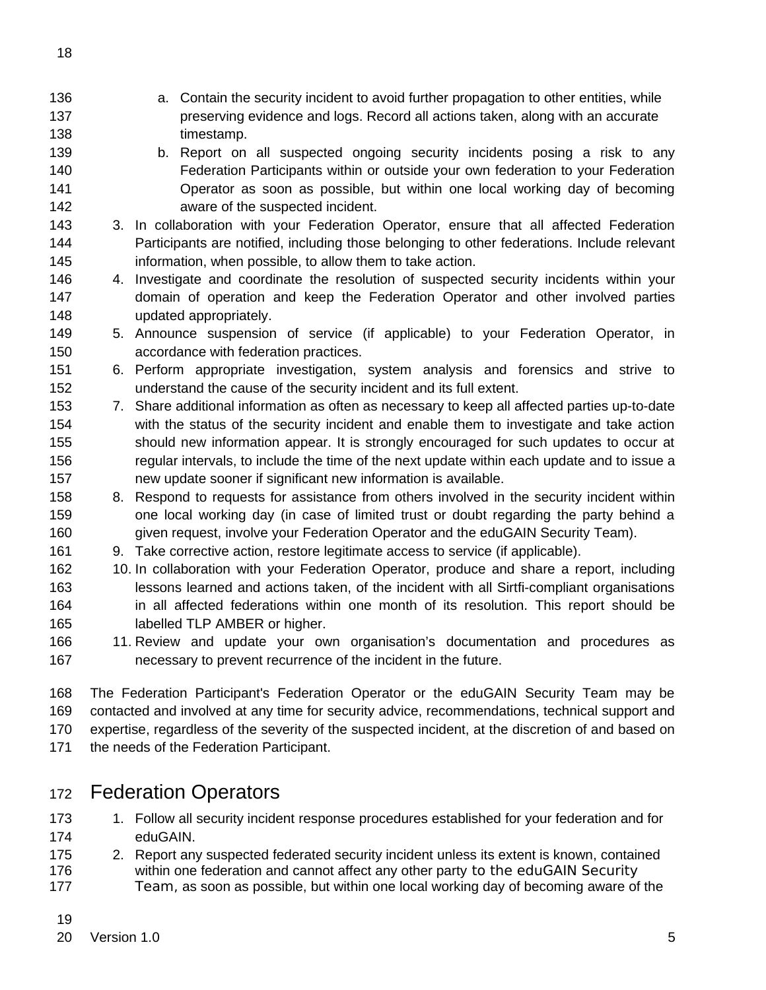- a. Contain the security incident to avoid further propagation to other entities, while preserving evidence and logs. Record all actions taken, along with an accurate timestamp. b. Report on all suspected ongoing security incidents posing a risk to any Federation Participants within or outside your own federation to your Federation Operator as soon as possible, but within one local working day of becoming aware of the suspected incident. 3. In collaboration with your Federation Operator, ensure that all affected Federation Participants are notified, including those belonging to other federations. Include relevant information, when possible, to allow them to take action. 4. Investigate and coordinate the resolution of suspected security incidents within your domain of operation and keep the Federation Operator and other involved parties updated appropriately. 5. Announce suspension of service (if applicable) to your Federation Operator, in accordance with federation practices. 6. Perform appropriate investigation, system analysis and forensics and strive to understand the cause of the security incident and its full extent. 7. Share additional information as often as necessary to keep all affected parties up-to-date with the status of the security incident and enable them to investigate and take action should new information appear. It is strongly encouraged for such updates to occur at regular intervals, to include the time of the next update within each update and to issue a new update sooner if significant new information is available. 8. Respond to requests for assistance from others involved in the security incident within one local working day (in case of limited trust or doubt regarding the party behind a given request, involve your Federation Operator and the eduGAIN Security Team). 9. Take corrective action, restore legitimate access to service (if applicable). 10. In collaboration with your Federation Operator, produce and share a report, including lessons learned and actions taken, of the incident with all Sirtfi-compliant organisations 136 137 138 139 140 141 142 143 144 145 146 147 148 149 150 151 152 153 154 155 156 157 158 159 160 161 162 163
- in all affected federations within one month of its resolution. This report should be labelled TLP AMBER or higher. 164 165
- 11. Review and update your own organisation's documentation and procedures as necessary to prevent recurrence of the incident in the future. 166 167

The Federation Participant's Federation Operator or the eduGAIN Security Team may be contacted and involved at any time for security advice, recommendations, technical support and expertise, regardless of the severity of the suspected incident, at the discretion of and based on the needs of the Federation Participant. 168 169 170 171

## <span id="page-4-0"></span>Federation Operators 172

- 1. Follow all security incident response procedures established for your federation and for eduGAIN. 173 174
- 2. Report any suspected federated security incident unless its extent is known, contained within one federation and cannot affect any other party to the eduGAIN Security Team, as soon as possible, but within one local working day of becoming aware of the 175 176 177

19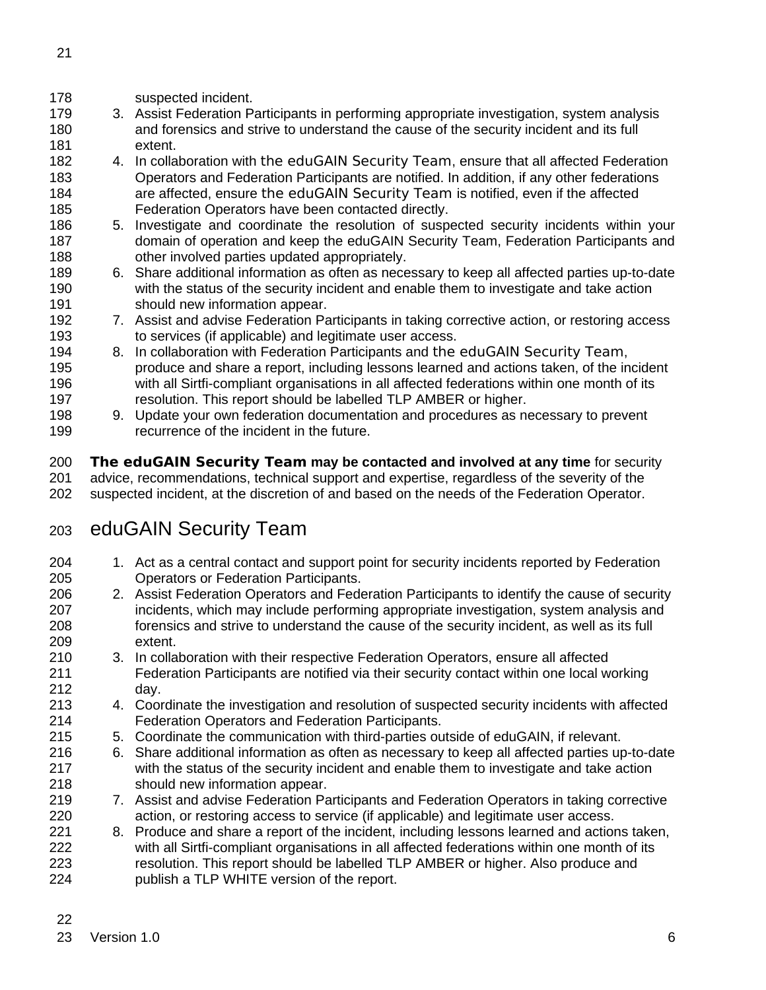| I                |  |
|------------------|--|
| ٧<br>¢<br>I<br>I |  |
|                  |  |

- suspected incident. 178
- 3. Assist Federation Participants in performing appropriate investigation, system analysis and forensics and strive to understand the cause of the security incident and its full extent. 179 180 181
- 4. In collaboration with the eduGAIN Security Team, ensure that all affected Federation Operators and Federation Participants are notified. In addition, if any other federations are affected, ensure the eduGAIN Security Team is notified, even if the affected Federation Operators have been contacted directly. 182 183 184 185
- 5. Investigate and coordinate the resolution of suspected security incidents within your domain of operation and keep the eduGAIN Security Team, Federation Participants and other involved parties updated appropriately. 186 187 188
- 6. Share additional information as often as necessary to keep all affected parties up-to-date with the status of the security incident and enable them to investigate and take action should new information appear. 189 190 191
- 7. Assist and advise Federation Participants in taking corrective action, or restoring access to services (if applicable) and legitimate user access. 192 193
- 8. In collaboration with Federation Participants and the eduGAIN Security Team, produce and share a report, including lessons learned and actions taken, of the incident with all Sirtfi-compliant organisations in all affected federations within one month of its resolution. This report should be labelled TLP AMBER or higher. 194 195 196 197
- 9. Update your own federation documentation and procedures as necessary to prevent recurrence of the incident in the future. 198 199

**The eduGAIN Security Team may be contacted and involved at any time** for security advice, recommendations, technical support and expertise, regardless of the severity of the suspected incident, at the discretion of and based on the needs of the Federation Operator. 200 201 202

## <span id="page-5-0"></span>eduGAIN Security Team 203

- 1. Act as a central contact and support point for security incidents reported by Federation Operators or Federation Participants. 204 205
- 2. Assist Federation Operators and Federation Participants to identify the cause of security incidents, which may include performing appropriate investigation, system analysis and forensics and strive to understand the cause of the security incident, as well as its full extent. 206 207 208 209
- 3. In collaboration with their respective Federation Operators, ensure all affected Federation Participants are notified via their security contact within one local working day. 210 211 212
- 4. Coordinate the investigation and resolution of suspected security incidents with affected Federation Operators and Federation Participants. 213 214
- 5. Coordinate the communication with third-parties outside of eduGAIN, if relevant. 215
- 6. Share additional information as often as necessary to keep all affected parties up-to-date with the status of the security incident and enable them to investigate and take action should new information appear. 216 217 218
- 7. Assist and advise Federation Participants and Federation Operators in taking corrective action, or restoring access to service (if applicable) and legitimate user access. 219 220
- 8. Produce and share a report of the incident, including lessons learned and actions taken, with all Sirtfi-compliant organisations in all affected federations within one month of its resolution. This report should be labelled TLP AMBER or higher. Also produce and publish a TLP WHITE version of the report. 221 222 223 224